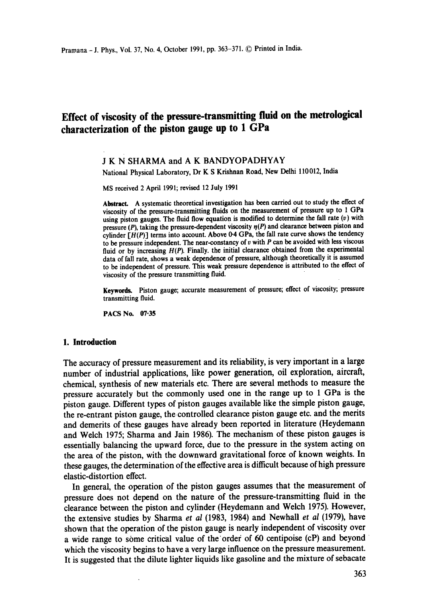# **Effect of viscosity of the pressure-transmitting fluid on the metrological characterization of the piston gauge up to 1 GPa**

## J K N SHARMA and A K BANDYOPADHYAY

National Physical Laboratory, Dr K S Krishnan Road, New Delhi 110012, India

MS received 2 April 1991; revised 12 July 1991

Abstract. A systematic theoretical investigation has been carried out to study the effect of viscosity of the pressure-transmitting fluids on the measurement of pressure up to 1 GPa using piston gauges. The fluid flow equation is modified to determine the fall rate  $(v)$  with pressure (P), taking the pressure-dependent viscosity  $n(P)$  and clearance between piston and cylinder  $[H(P)]$  terms into account. Above 0-4 GPa, the fall rate curve shows the tendency to be pressure independent. The near-constancy of  $v$  with  $P$  can be avoided with less viscous fluid or by increasing  $H(P)$ . Finally. the initial clearance obtained from the experimental data of fall rate, shows a weak dependence of pressure, although theoretically it is assumed to be independent of pressure. This weak pressure dependence is attributed to the effect of viscosity of the pressure transmitting fluid.

Keywotds. Piston gauge; accurate measurement of pressure; effect of viscosity; pressure transmitting fluid.

PACS No. 07.35

## **1. Introduction**

The accuracy of pressure measurement and its reliability, is very important in a large number of industrial applications, like power generation, oil exploration, aircraft, chemical, synthesis of new materials etc. There are several methods to measure the pressure accurately but the commonly used one in the range up to 1 GPa is the piston gauge. Different types of piston gauges available like the simple piston gauge, the re-entrant piston gauge, the controlled clearance piston gauge etc. and the merits and demerits of these gauges have already been reported in literature (Heydemann and Welch 1975; Sharma and Jain 1986). The mechanism of these piston gauges is essentially balancing the upward force, due to the pressure in the system acting on the area of the piston, with the downward gravitational force of known weights. In these gauges, the determination of the effective area is difficult because of high pressure elastic-distortion effect.

In general, the operation of the piston gauges assumes that the measurement of pressure does not depend on the nature of the pressure-transmitting fluid in the clearance between the piston and cylinder (Heydemann and Welch 1975). However, the extensive studies by Sharma *et al* (1983, 1984) and Newhall *et al* (1979), have shown that the operation of the piston gauge is nearly independent of viscosity over a wide range to some critical value of the order of 60 centipoise (cP) and beyond which the viscosity begins to have a very large influence on the pressure measurement. It is suggested that the dilute lighter liquids like gasoline and the mixture of sebacate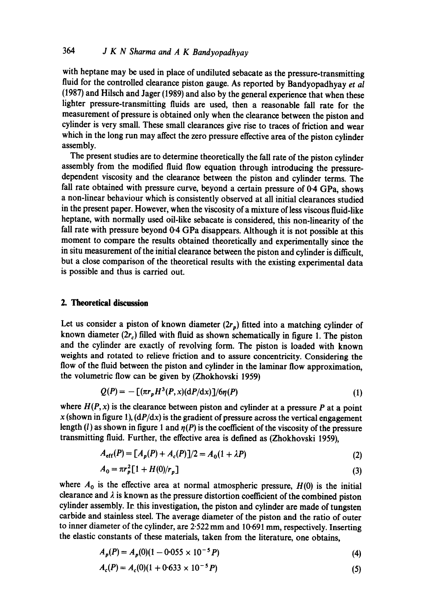with heptane may be used in place of undiluted sebacate as the pressure-transmitting fluid for the controlled clearance piston gauge. As reported by Bandyopadhyay *et al*  (1987) and Hilsch and Jager (1989) and also by the general experience that when these lighter pressure-transmitting fluids are used, then a reasonable fall rate for the measurement of pressure is obtained only when the clearance between the piston and cylinder is very small. These small clearances give rise to traces of friction and wear which in the long run may affect the zero pressure effective area of the piston cylinder assembly.

The present studies are to determine theoretically the fall rate of the piston cylinder assembly from the modified fluid flow equation through introducing the pressuredependent viscosity and the clearance between the piston and cylinder terms. The fall rate obtained with pressure curve, beyond a certain pressure of 0.4 GPa, shows a non-linear behaviour which is consistently observed at all initial clearances studied in the present paper. However, when the viscosity of a mixture of less viscous fluid-like heptane, with normally used oil-like sebacate is considered, this non-linearity of the fall rate with pressure beyond 0.4 GPa disappears. Although it is not possible at this moment to compare the results obtained theoretically and experimentally since the in situ measurement of the initial clearance between the piston and cylinder is difficult, but a close comparison of the theoretical results with the existing experimental data is possible and thus is carried out.

## **2. Theoretical discussion**

Let us consider a piston of known diameter  $(2r_p)$  fitted into a matching cylinder of known diameter  $(2r_c)$  filled with fluid as shown schematically in figure 1. The piston and the cylinder are exactly of revolving form. The piston is loaded with known weights and rotated to relieve friction and to assure concentricity. Considering the flow of the fluid between the piston and cylinder in the laminar flow approximation, the volumetric flow can be given by (Zhokhovski 1959)

$$
Q(P) = -\left[ (\pi r_p H^3(P, x) (dP/dx)) / 6\eta(P) \right] \tag{1}
$$

where  $H(P, x)$  is the clearance between piston and cylinder at a pressure  $P$  at a point  $x$  (shown in figure 1),  $\frac{dP}{dx}$  is the gradient of pressure across the vertical engagement length (l) as shown in figure 1 and  $\eta(P)$  is the coefficient of the viscosity of the pressure transmitting fluid. Further, the effective area is defined as (Zhokhovski 1959),

$$
A_{\rm eff}(P) = [A_p(P) + A_c(P)]/2 = A_0(1 + \lambda P) \tag{2}
$$

$$
A_0 = \pi r_p^2 [1 + H(0)/r_p]
$$
 (3)

where  $A_0$  is the effective area at normal atmospheric pressure,  $H(0)$  is the initial clearance and  $\lambda$  is known as the pressure distortion coefficient of the combined piston cylinder assembly. In this investigation, the piston and cylinder are made of tungsten carbide and stainless steel. The average diameter of the piston and the ratio of outer to inner diameter of the cylinder, are *2.522* mm and 10.691 mm, respectively. Inserting the elastic constants of these materials, taken from the literature, one obtains,

$$
A_p(P) = A_p(0)(1 - 0.055 \times 10^{-5} P) \tag{4}
$$

$$
A_c(P) = A_c(0)(1 + 0.633 \times 10^{-5} P) \tag{5}
$$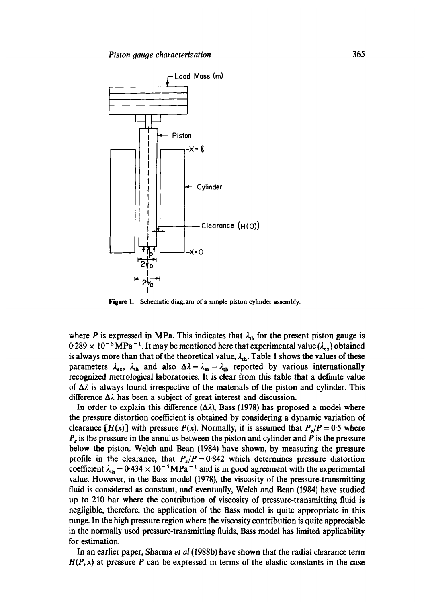

**Figure** I. Schematic diagram of a simple piston cylinder assembly.

where P is expressed in MPa. This indicates that  $\lambda_{th}$  for the present piston gauge is  $0.289 \times 10^{-5} \text{MPa}^{-1}$ . It may be mentioned here that experimental value ( $\lambda_{ex}$ ) obtained is always more than that of the theoretical value,  $\lambda_{th}$ . Table 1 shows the values of these parameters  $\lambda_{ex}$ ,  $\lambda_{th}$  and also  $\Delta \lambda = \lambda_{ex} - \lambda_{th}$  reported by various internationally recognized metrological laboratories. It is clear from this table that a definite value of  $\Delta\lambda$  is always found irrespective of the materials of the piston and cylinder. This difference  $\Delta\lambda$  has been a subject of great interest and discussion.

In order to explain this difference  $(\Delta \lambda)$ , Bass (1978) has proposed a model where the pressure distortion coefficient is obtained by considering a dynamic variation of clearance  $[H(x)]$  with pressure  $P(x)$ . Normally, it is assumed that  $P(x) = 0.5$  where  $P<sub>s</sub>$  is the pressure in the annulus between the piston and cylinder and  $P$  is the pressure below the piston. Welch and Bean (1984) have shown, by measuring the pressure profile in the clearance, that  $P_s/P = 0.842$  which determines pressure distortion coefficient  $\lambda_{th} = 0.434 \times 10^{-5} \text{MPa}^{-1}$  and is in good agreement with the experimental value. However, in the Bass model (1978), the viscosity of the pressure-transmitting fluid is considered as constant, and eventually, Welch and Bean (1984) have studied up to 210 bar where the contribution of viscosity of pressure-transmitting fluid is negligible, therefore, the application of the Bass model is quite appropriate in this range. In the high pressure region where the viscosity contribution is quite appreciable in the normally used pressure-transmitting fluids, Bass model has limited applicability for estimation.

In an earlier paper, Sharma *et al* (1988b) have shown that the radial clearance term  $H(P, x)$  at pressure P can be expressed in terms of the elastic constants in the case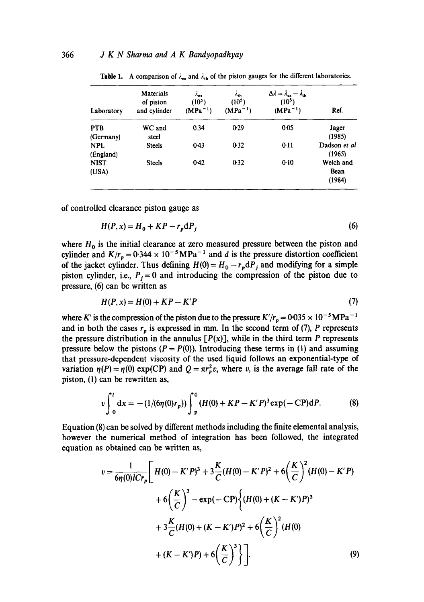| Laboratory              | Materials<br>of piston<br>and cylinder | $\lambda_{ex}$<br>$(10^5)$<br>$(MPa^{-1})$ | $\lambda_{\rm th}$<br>(10 <sup>5</sup> )<br>$(MPa^{-1})$ | $\Delta \lambda = \lambda_{\rm ex} - \lambda_{\rm th}$<br>(10 <sup>5</sup> )<br>$(MPa^{-1})$ | Ref.                        |
|-------------------------|----------------------------------------|--------------------------------------------|----------------------------------------------------------|----------------------------------------------------------------------------------------------|-----------------------------|
| <b>PTB</b><br>(Germany) | WC and<br>steel                        | 0.34                                       | 0.29                                                     | 0.05                                                                                         | Jager<br>(1985)             |
| <b>NPL</b><br>(England) | <b>Steels</b>                          | $0-43$                                     | 0.32                                                     | 0:11                                                                                         | Dadson et al<br>(1965)      |
| <b>NIST</b><br>(USA)    | <b>Steels</b>                          | 0.42                                       | 0.32                                                     | 0.10                                                                                         | Welch and<br>Bean<br>(1984) |

**Table 1.** A comparison of  $\lambda_{\text{ex}}$  and  $\lambda_{\text{th}}$  of the piston gauges for the different laboratories.

of controlled clearance piston gauge as

$$
H(P, x) = H_0 + KP - r_p \, \mathrm{d}P_i \tag{6}
$$

where  $H_0$  is the initial clearance at zero measured pressure between the piston and cylinder and  $K/r_p = 0.344 \times 10^{-5} \text{MPa}^{-1}$  and d is the pressure distortion coefficient of the jacket cylinder. Thus defining  $H(0) = H_0 - r_p dP_j$  and modifying for a simple piston cylinder, i.e.,  $P_i = 0$  and introducing the compression of the piston due to pressure, (6) can be written as

$$
H(P, x) = H(0) + KP - K'P
$$
 (7)

where K' is the compression of the piston due to the pressure  $K/r_p = 0.035 \times 10^{-5} \text{MPa}^{-1}$ and in both the cases  $r_p$  is expressed in mm. In the second term of (7), P represents the pressure distribution in the annulus  $[P(x)]$ , while in the third term P represents pressure below the pistons ( $P = P(0)$ ). Introducing these terms in (1) and assuming that pressure-dependent viscosity of the used liquid follows an exponential-type of variation  $\eta(P) = \eta(0) \exp(CP)$  and  $Q = \pi r_p^2 v$ , where v, is the average fall rate of the piston, (1) can be rewritten as,

$$
v\int_0^l dx = -(1/(6\eta(0)r_p))\int_p^0 (H(0) + KP - K'P)^3 \exp(-CP) dP.
$$
 (8)

Equation (8) can be solved by different methods including the finite elemental analysis, however the numerical method of integration has been followed, the integrated equation as obtained can be written as,

$$
v = \frac{1}{6\eta(0)lCr_p} \left[ H(0) - K'P)^3 + 3\frac{K}{C}(H(0) - K'P)^2 + 6\left(\frac{K}{C}\right)^2 (H(0) - K'P) + 6\left(\frac{K}{C}\right)^3 - \exp(-CP)\left\{ (H(0) + (K - K')P)^3 + 3\frac{K}{C}(H(0) + (K - K')P)^2 + 6\left(\frac{K}{C}\right)^2 (H(0) + (K - K')P) + 6\left(\frac{K}{C}\right)^3 \right\} \right] \tag{9}
$$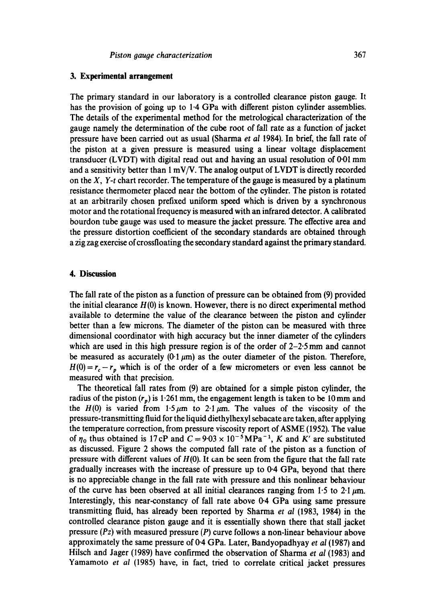#### **3. Experimental arrangement**

The primary standard in our laboratory is a controlled clearance piston gauge. It has the provision of going up to 1-4 GPa with different piston cylinder assemblies. The details of the experimental method for the metrological characterization of the gauge namely the determination of the cube root of fall rate as a function of jacket pressure have been carried out as usual (Sharma *et al* 1984). In brief, the fall rate of the piston at a given pressure is measured using a linear voltage displacement transducer (LVDT) with digital read out and having an usual resolution of  $0.01$  mm and a sensitivity better than  $1 \text{ mV/V}$ . The analog output of LVDT is directly recorded on the *X, Y-t* chart recorder. The temperature of the gauge is measured by a platinum resistance thermometer placed near the bottom of the cylinder. The piston is rotated at an arbitrarily chosen prefixed uniform speed which is driven by a synchronous motor and the rotational frequency is measured with an infrared detector. A calibrated bourdon tube gauge was used to measure the jacket pressure. The effective area and the pressure distortion coefficient of the secondary standards are obtained through a zig zag exercise of crossfloating the secondary standard against the primary standard.

## **4. Discussion**

The fall rate of the piston as a function of pressure can be obtained from (9) provided the initial clearance  $H(0)$  is known. However, there is no direct experimental method available to determine the value of the clearance between the piston and cylinder better than a few microns. The diameter of the piston can be measured with three dimensional coordinator with high accuracy but the inner diameter of the cylinders which are used in this high pressure region is of the order of  $2-2.5$  mm and cannot be measured as accurately (0.1  $\mu$ m) as the outer diameter of the piston. Therefore,  $H(0) = r_c - r_p$  which is of the order of a few micrometers or even less cannot be measured with that precision.

The theoretical fall rates from (9) are obtained for a simple piston cylinder, the radius of the piston  $(r_n)$  is 1-261 mm, the engagement length is taken to be 10 mm and the H(0) is varied from 1.5  $\mu$ m to 2.1  $\mu$ m. The values of the viscosity of the pressure-transmitting fluid for the liquid diethylhexyl sebacate are taken, after applying the temperature correction, from pressure viscosity report of ASME (1952). The value of  $\eta_0$  thus obtained is 17 cP and  $C = 9.03 \times 10^{-5} \text{MPa}^{-1}$ , K and K' are substituted as discussed. Figure 2 shows the computed fall rate of the piston as a function of pressure with different values of  $H(0)$ . It can be seen from the figure that the fall rate gradually increases with the increase of pressure up to 0.4 GPa, beyond that there is no appreciable change in the fall rate with pressure and this nonlinear behaviour of the curve has been observed at all initial clearances ranging from 1.5 to 2.1  $\mu$ m. Interestingly, this near-constancy of fall rate above 0.4 GPa using same pressure transmitting fluid, has already been reported by Sharma *et ai* (1983, 1984) in the controlled clearance piston gauge and it is essentially shown there that stall jacket pressure *(Pz)* with measured pressure (P) curve follows a non-linear behaviour above approximately the same pressure of 0-4 GPa. Later, Bandyopadhyay *et al* (1987) and Hilsch and Jager (1989) have confirmed the observation of Sharma *et al* (1983) and Yamamoto *et al* (1985) have, in fact, tried to correlate critical jacket pressures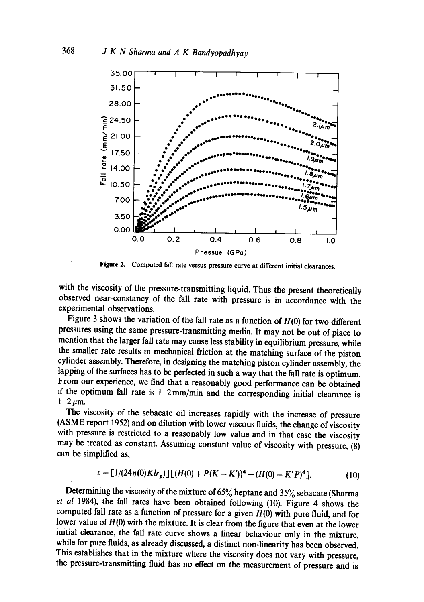

Figure 2. Computed fall rate versus pressure curve at different initial clearances.

with the viscosity of the pressure-transmitting liquid. Thus the present theoretically observed near-constancy of the fall rate with pressure is in accordance with the experimental observations.

Figure 3 shows the variation of the fall rate as a function of  $H(0)$  for two different pressures using the same pressure-transmitting media. It may not be out of place to mention that the larger fall rate may cause less stability in equilibrium pressure, while the smaller rate results in mechanical friction at the matching surface of the piston cylinder assembly. Therefore, in designing the matching piston cylinder assembly, the lapping of the surfaces has to be perfected in such a way that the fall rate is optimum. From our experience, we find that a reasonably good performance can be obtained if the optimum fall rate is  $1-2$  mm/min and the corresponding initial clearance is  $1-2 \mu m$ .

The viscosity of the sebacate oil increases rapidly with the increase of pressure (ASME report 1952) and on dilution with lower viscous fluids, the change of viscosity with pressure is restricted to a reasonably low value and in that case the viscosity may be treated as constant. Assuming constant value of viscosity with pressure, (8) can be simplified as,

$$
v = [1/(24\eta(0)Klr_p)][(H(0) + P(K - K'))^4 - (H(0) - K'P)^4].
$$
 (10)

Determining the viscosity of the mixture of 65% heptane and 35% sebacate (Sharma et al 1984), the fall rates have been obtained following (10). Figure 4 shows the computed fall rate as a function of pressure for a given  $H(0)$  with pure fluid, and for lower value of  $H(0)$  with the mixture. It is clear from the figure that even at the lower initial clearance, the fall rate curve shows a linear behaviour only in the mixture, while for pure fluids, as already discussed, a distinct non-linearity has been observed. This establishes that in the mixture where the viscosity does not vary with pressure, the pressure-transmitting fluid has no effect on the measurement of pressure and is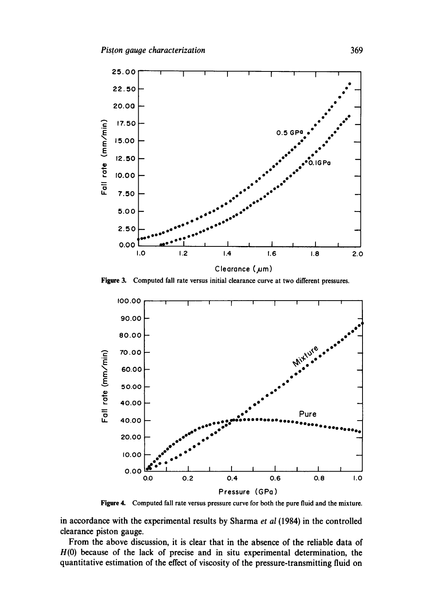

Figure 3. Computed fall rate versus initial clearance curve at two different pressures.



Figure 4. Computed fall rate versus pressure curve for both the pure fluid and the mixture.

in accordance with the experimental results by Sharma et al (1984) in the controlled clearance piston gauge.

From the above discussion, it is clear that in the absence of the reliable data of  $H(0)$  because of the lack of precise and in situ experimental determination, the quantitative estimation of the effect of viscosity of the pressure-transmitting fluid on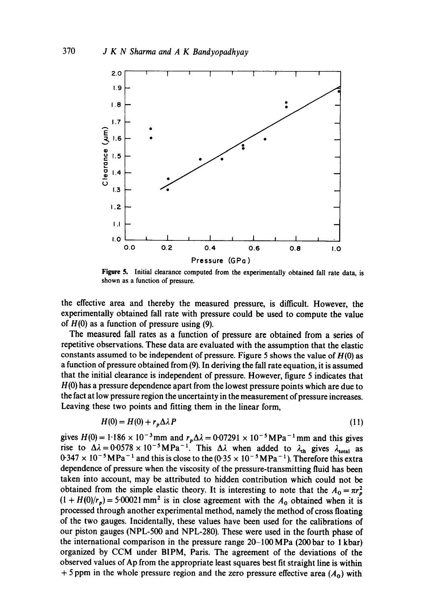

**Figure** 5. Initial clearance computed from the experimentally obtained fall rate data, is shown as a function of pressure.

the effective area and thereby the measured pressure, is difficult. However, the experimentally obtained fall rate with pressure could be used to compute the value of  $H(0)$  as a function of pressure using (9).

The measured fall rates as a function of pressure are obtained from a series of repetitive observations. These data are evaluated with the assumption that the elastic constants assumed to be independent of pressure. Figure 5 shows the value of  $H(0)$  as a function of pressure obtained from (9). In deriving the fall rate equation, it is assumed that the initial clearance is independent of pressure. However, figure 5 indicates that H(0) has a pressure dependence apart from the lowest pressure points which are due to the fact at low pressure region the uncertainty in the measurement of pressure increases. Leaving these two points and fitting them in the linear form,

$$
H(0) = H(0) + r_p \Delta \lambda P \tag{11}
$$

gives  $H(0) = 1.186 \times 10^{-3}$  mm and  $r_p\Delta\lambda = 0.07291 \times 10^{-5}$  MPa<sup>-1</sup> mm and this gives rise to  $\Delta\lambda = 0.0578 \times 10^{-5} \text{MPa}^{-1}$ . This  $\Delta\lambda$  when added to  $\lambda_{\text{th}}$  gives  $\lambda_{\text{total}}$  as  $0.347 \times 10^{-5} \text{MPa}^{-1}$  and this is close to the  $(0.35 \times 10^{-5} \text{MPa}^{-1})$ . Therefore this extra dependence of pressure when the viscosity of the pressure-transmitting fluid has been taken into account, may be attributed to hidden contribution which could not be obtained from the simple elastic theory. It is interesting to note that the  $A_0 = \pi r_p^2$  $(1 + H(0)/r_p) = 5.00021$  mm<sup>2</sup> is in close agreement with the  $A_0$  obtained when it is processed through another experimental method, namely the method of cross floating of the two gauges. Incidentally, these values have been used for the calibrations of our piston gauges (NPL-500 and NPL-280). These were used in the fourth phase of the international comparison in the pressure range  $20-100 \text{ MPa}$  (200 bar to 1 kbar) organized by CCM under BIPM, Paris. The agreement of the deviations of the observed values of Ap from the appropriate least squares best fit straight line is within + 5 ppm in the whole pressure region and the zero pressure effective area  $(A_0)$  with